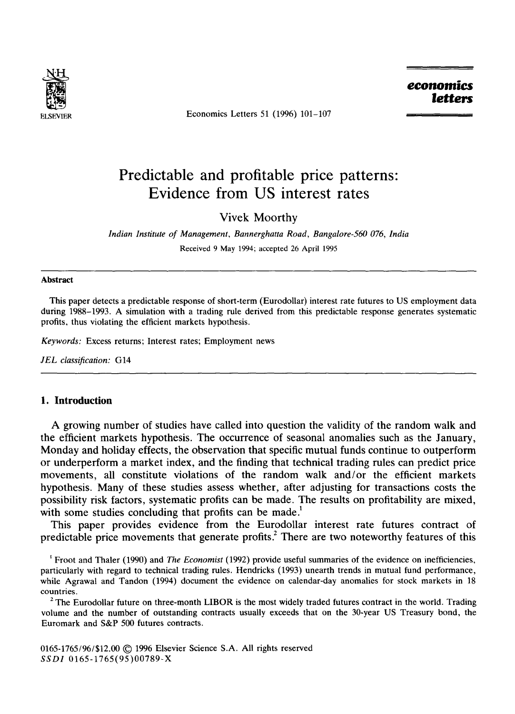

Economics Letters 51 (1996) 101-107

*economics letters* 

# **Predictable and profitable price patterns: Evidence from US interest rates**

Vivek Moorthy

*Indian Institute of Management, Bannerghatta Road, Bangalore-560 076, India*  Received 9 May 1994; accepted 26 April 1995

#### **Abstract**

This paper detects a predictable response of short-term (Eurodollar) interest rate futures to US employment data during 1988-1993. A simulation with a trading rule derived from this predictable response generates systematic profits, thus violating the efficient markets hypothesis.

*Keywords:* Excess returns; Interest rates; Employment news

JEL classification: G14

#### **1. Introduction**

A growing number of studies have called into question the validity of the random walk and the efficient markets hypothesis. The occurrence of seasonal anomalies such as the January, Monday and holiday effects, the observation that specific mutual funds continue to outperform or underperform a market index, and the finding that technical trading rules can predict price movements, all constitute violations of the random walk and/or the efficient markets hypothesis. Many of these studies assess whether, after adjusting for transactions costs the possibility risk factors, systematic profits can be made. The results on profitability are mixed, with some studies concluding that profits can be made.<sup>1</sup>

This paper provides evidence from the Eurodollar interest rate futures contract of predictable price movements that generate profits.<sup>2</sup> There are two noteworthy features of this

Froot and Thaler (1990) and *The Economist* (1992) provide useful summaries of the evidence on inefficiencies, particularly with regard to technical trading rules. Hendricks (1993) unearth trends in mutual fund performance, while Agrawal and Tandon (1994) document the evidence on calendar-day anomalies for stock markets in 18 countries.

 $<sup>2</sup>$  The Eurodollar future on three-month LIBOR is the most widely traded futures contract in the world. Trading</sup> volume and the number of outstanding contracts usually exceeds that on the 30-year US Treasury bond, the Euromark and S&P 500 futures contracts.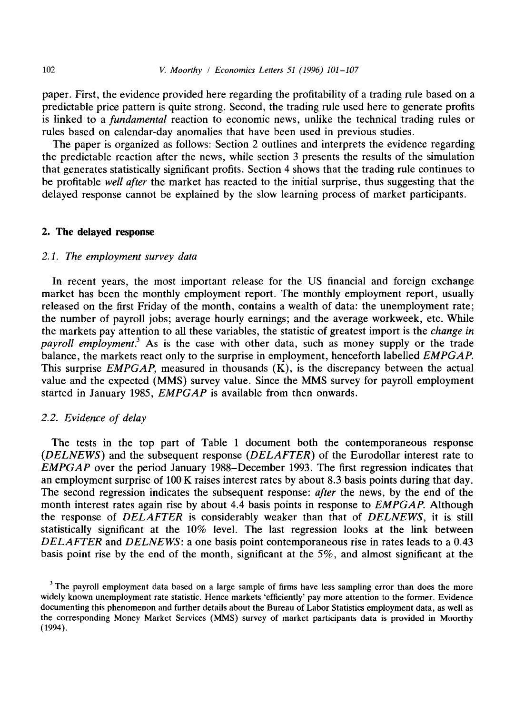paper. First, the evidence provided here regarding the profitability of a trading rule based on a predictable price pattern is quite strong. Second, the trading rule used here to generate profits is linked to a *fundamental* reaction to economic news, unlike the technical trading rules or rules based on calendar-day anomalies that have been used in previous studies.

The paper is organized as follows: Section 2 outlines and interprets the evidence regarding the predictable reaction after the news, while section 3 presents the results of the simulation that generates statistically significant profits. Section 4 shows that the trading rule continues to be profitable *well after* the market has reacted to the initial surprise, thus suggesting that the delayed response cannot be explained by the slow learning process of market participants.

#### 2. **The delayed** response

### *2.1. The employment survey data*

In recent years, the most important release for the US financial and foreign exchange market has been the monthly employment report. The monthly employment report, usually released on the first Friday of the month, contains a wealth of data: the unemployment rate; the number of payroll jobs; average hourly earnings; and the average workweek, etc. While the markets pay attention to all these variables, the statistic of greatest import is the *change in payroll employment.*<sup>3</sup> As is the case with other data, such as money supply or the trade balance, the markets react only to the surprise in employment, henceforth labelled *EMPGAP.*  This surprise *EMPGAP*, measured in thousands  $(K)$ , is the discrepancy between the actual value and the expected (MMS) survey value. Since the MMS survey for payroll employment started in January 1985, *EMPGAP* is available from then onwards.

## *2.2. Evidence of delay*

The tests in the top part of Table 1 document both the contemporaneous response *(DELNEWS)* and the subsequent response *(DELAFTER)* of the Eurodollar interest rate to *EMPGAP* over the period January 1988-December 1993. The first regression indicates that an employment surprise of 100 K raises interest rates by about 8.3 basis points during that day. The second regression indicates the subsequent response: *after* the news, by the end of the month interest rates again rise by about 4.4 basis points in response to *EMPGAP.* Although the response of *DELAFTER* is considerably weaker than that of *DELNEWS,* it is still statistically significant at the 10% level. The last regression looks at the link between *DELAFTER* and *DELNEWS:* a one basis point contemporaneous rise in rates leads to a 0.43 basis point rise by the end of the month, significant at the 5%, and almost significant at the

<sup>&</sup>lt;sup>3</sup> The payroll employment data based on a large sample of firms have less sampling error than does the more widely known unemployment rate statistic. Hence markets 'efficiently' pay more attention to the former. Evidence documenting this phenomenon and further details about the Bureau of Labor Statistics employment data, as well as the corresponding Money Market Services (MMS) survey of market participants data is provided in Moorthy (1994).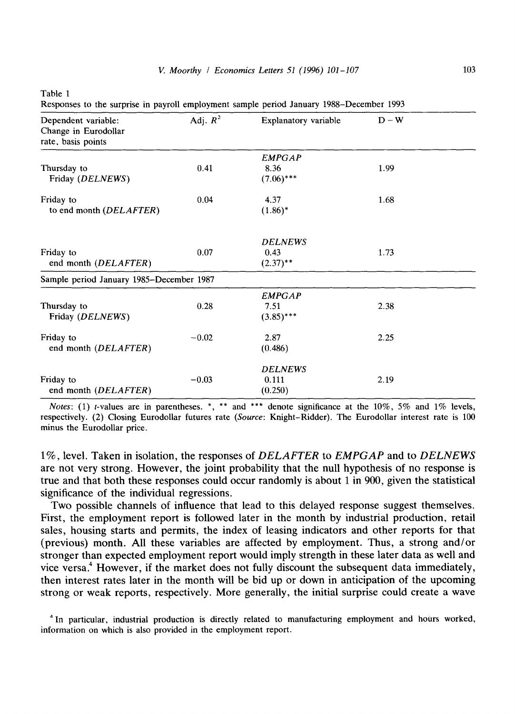| anie |  |
|------|--|
|------|--|

Responses to the surprise in payroll employment sample period January 1988-December 1993

| Dependent variable:<br>Change in Eurodollar<br>rate, basis points | Adj. $R^2$ | Explanatory variable                  | $D - W$ |
|-------------------------------------------------------------------|------------|---------------------------------------|---------|
| Thursday to<br>Friday (DELNEWS)                                   | 0.41       | <b>EMPGAP</b><br>8.36<br>$(7.06)$ *** | 1.99    |
| Friday to<br>to end month (DELAFTER)                              | 0.04       | 4.37<br>$(1.86)^*$                    | 1.68    |
| Friday to<br>end month (DELAFTER)                                 | 0.07       | <b>DELNEWS</b><br>0.43<br>$(2.37)$ ** | 1.73    |
| Sample period January 1985-December 1987                          |            |                                       |         |
| Thursday to<br>Friday (DELNEWS)                                   | 0.28       | <b>EMPGAP</b><br>7.51<br>$(3.85)$ *** | 2.38    |
| Friday to<br>end month (DELAFTER)                                 | $-0.02$    | 2.87<br>(0.486)                       | 2.25    |
| Friday to<br>end month (DELAFTER)                                 | $-0.03$    | <b>DELNEWS</b><br>0.111<br>(0.250)    | 2.19    |

*Notes*: (1) *t*-values are in parentheses. \*, \*\* and \*\*\* denote significance at the 10%, 5% and 1% levels, respectively. (2) Closing Eurodollar futures rate *(Source:* Knight-Ridder). The Eurodollar interest rate is 100 minus the Eurodollar price.

1%, level. Taken in isolation, the responses of *DELAFTER* to *EMPGAP* and to *DELNEWS*  are not very strong. However, the joint probability that the null hypothesis of no response is true and that both these responses could occur randomly is about 1 in 900, given the statistical significance of the individual regressions.

Two possible channels of influence that lead to this delayed response suggest themselves. First, the employment report is followed later in the month by industrial production, retail sales, housing starts and permits, the index of leasing indicators and other reports for that (previous) month. All these variables are affected by employment. Thus, a strong and/or stronger than expected employment report would imply strength in these later data as well and vice versa.<sup>4</sup> However, if the market does not fully discount the subsequent data immediately, then interest rates later in the month will be bid up or down in anticipation of the upcoming strong or weak reports, respectively. More generally, the initial surprise could create a wave

<sup>&</sup>lt;sup>4</sup> In particular, industrial production is directly related to manufacturing employment and hours worked, information on which is also provided in the employment report.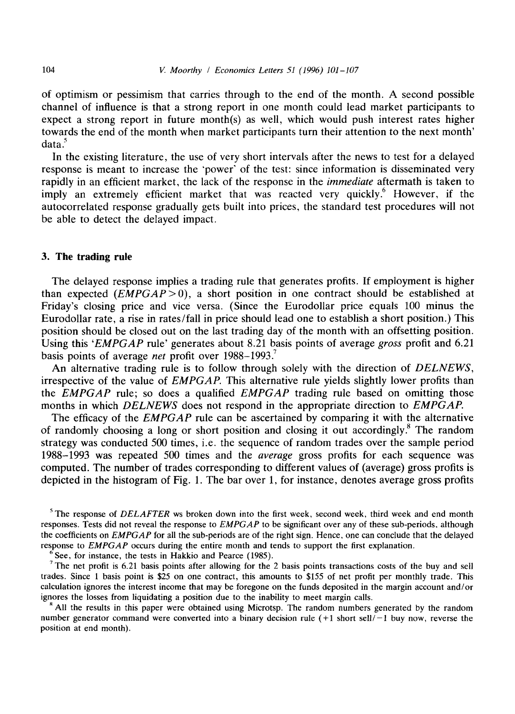of optimism or pessimism that carries through to the end of the month. A second possible channel of influence is that a strong report in one month could lead market participants to expect a strong report in future month(s) as well, which would push interest rates higher towards the end of the month when market participants turn their attention to the next month'  $data.<sup>5</sup>$ 

In the existing literature, the use of very short intervals after the news to test for a delayed response is meant to increase the 'power' of the test: since information is disseminated very rapidly in an efficient market, the lack of the response in the *immediate* aftermath is taken to imply an extremely efficient market that was reacted very quickly.<sup>6</sup> However, if the autocorrelated response gradually gets built into prices, the standard test procedures will not be able to detect the delayed impact.

## **3. The trading rule**

The delayed response implies a trading rule that generates profits. If employment is higher than expected  $(EMPGAP>0)$ , a short position in one contract should be established at Friday's closing price and vice versa. (Since the Eurodollar price equals 100 minus the Eurodollar rate, a rise in rates/fall in price should lead one to establish a short position.) This position should be closed out on the last trading day of the month with an offsetting position. Using this *'EMPGAP* rule' generates about 8.21 basis points of average *gross* profit and 6.21 basis points of average *net* profit over 1988-1993. 7

An alternative trading rule is to follow through solely with the direction of *DELNEWS,*  irrespective of the value of *EMPGAP.* This alternative rule yields slightly lower profits than the *EMPGAP* rule; so does a qualified *EMPGAP* trading rule based on omitting those months in which *DELNEWS* does not respond in the appropriate direction to *EMPGAP.* 

The efficacy of the *EMPGAP* rule can be ascertained by comparing it with the alternative of randomly choosing a long or short position and closing it out accordingly.<sup>8</sup> The random strategy was conducted 500 times, i.e. the sequence of random trades over the sample period 1988-1993 was repeated 500 times and the *average* gross profits for each sequence was computed. The number of trades corresponding to different values of (average) gross profits is depicted in the histogram of Fig. 1. The bar over 1, for instance, denotes average gross profits

s The response of *DELAFTER* ws broken down into the first week, second week, third week and end month responses. Tests did not reveal the response to *EMPGAP* to be significant over any of these sub-periods, although the coefficients on *EMPGAP* for all the sub-periods are of the right sign. Hence, one can conclude that the delayed response to *EMPGAP* occurs during the entire month and tends to support the first explanation.

 $6$  See, for instance, the tests in Hakkio and Pearce (1985).

<sup>7</sup> The net profit is 6.21 basis points after allowing for the 2 basis points transactions costs of the buy and sell trades. Since 1 basis point is \$25 on one contract, this amounts to \$155 of net profit per monthly trade. This calculation ignores the interest income that may be foregone on the funds deposited in the margin account and/or ignores the losses from liquidating a position due to the inability to meet margin calls.

<sup>8</sup> All the results in this paper were obtained using Microtsp. The random numbers generated by the random number generator command were converted into a binary decision rule  $(+1 \text{ short sell}/-1 \text{ buy now}, \text{reverse the}$ position at end month).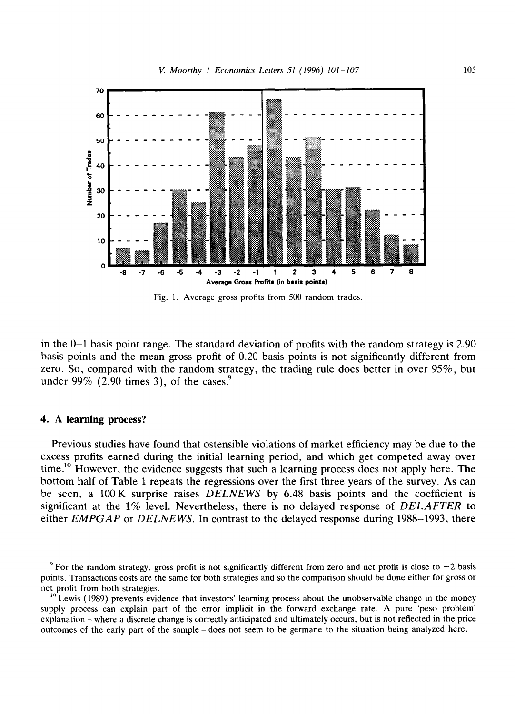

Fig. 1. Average gross profits from 500 random trades.

in the 0-1 basis point range. The standard deviation of profits with the random strategy is 2.90 basis points and the mean gross profit of 0.20 basis points is not significantly different from zero. So, compared with the random strategy, the trading rule does better in over 95%, but under 99% (2.90 times 3), of the cases.<sup>9</sup>

#### **4. A learning process?**

Previous studies have found that ostensible violations of market efficiency may be due to the excess profits earned during the initial learning period, and which get competed away over time.<sup>10</sup> However, the evidence suggests that such a learning process does not apply here. The bottom half of Table 1 repeats the regressions over the first three years of the survey. As can be seen, a 100K surprise raises *DELNEWS* by 6.48 basis points and the coefficient is significant at the 1% level. Nevertheless, there is no delayed response of *DELAFTER* to either *EMPGAP* or *DELNEWS.* In contrast to the delayed response during 1988-1993, there

 $9$  For the random strategy, gross profit is not significantly different from zero and net profit is close to  $-2$  basis points. Transactions costs are the same for both strategies and so the comparison should be done either for gross or net profit from both strategies.

<sup>&</sup>lt;sup>10</sup>Lewis (1989) prevents evidence that investors' learning process about the unobservable change in the money supply process can explain part of the error implicit in the forward exchange rate. A pure 'peso problem' explanation - where a discrete change is correctly anticipated and ultimately occurs, but is not reflected in the price outcomes of the early part of the sample- does not seem to be germane to the situation being analyzed here.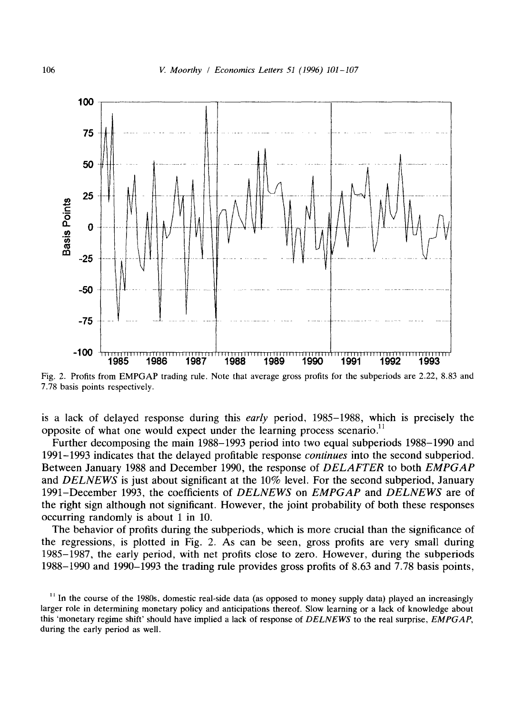

Fig. 2. Profits from EMPGAP trading rule. Note that average gross profits for the subperiods are 2.22, 8.83 and 7.78 basis points respectively.

is a lack of delayed response during this *early* period, 1985-1988, which is precisely the opposite of what one would expect under the learning process scenario.<sup>11</sup>

Further decomposing the main 1988-1993 period into two equal subperiods 1988-1990 and 1991-1993 indicates that the delayed profitable response *continues* into the second subperiod. Between January 1988 and December 1990, the response of *DELAFTER* to both *EMPGAP*  and *DELNEWS* is just about significant at the 10% level. For the second subperiod, January 1991-December 1993, the coefficients of *DELNEWS* on *EMPGAP* and *DELNEWS* are of the right sign although not significant. However, the joint probability of both these responses occurring randomly is about 1 in 10.

The behavior of profits during the subperiods, which is more crucial than the significance of the regressions, is plotted in Fig. 2. As can be seen, gross profits are very small during 1985-1987, the early period, with net profits close to zero. However, during the subperiods 1988-1990 and 1990-1993 the trading rule provides gross profits of 8.63 and 7.78 basis points,

<sup>&</sup>lt;sup>11</sup> In the course of the 1980s, domestic real-side data (as opposed to money supply data) played an increasingly larger role in determining monetary policy and anticipations thereof. Slow learning or a lack of knowledge about this 'monetary regime shift' should have implied a lack of response of *DELNEWS* to the real surprise, *EMPGAP,*  during the early period as well.